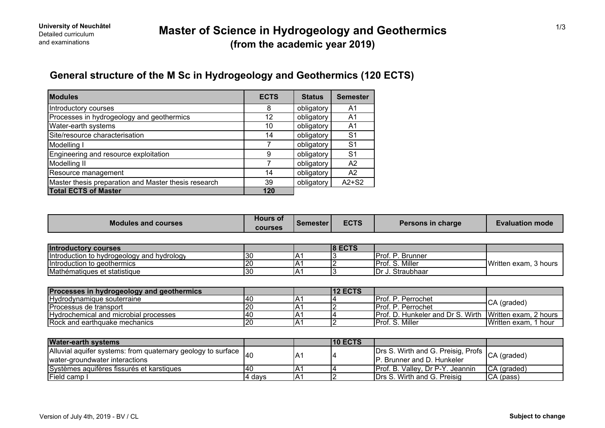## **General structure of the M Sc in Hydrogeology and Geothermics (120 ECTS)**

| <b>Modules</b>                                       | <b>ECTS</b> | <b>Status</b> | <b>Semester</b> |
|------------------------------------------------------|-------------|---------------|-----------------|
| Introductory courses                                 | 8           | obligatory    | A1              |
| Processes in hydrogeology and geothermics            | 12          | obligatory    | A1              |
| Water-earth systems                                  | 10          | obligatory    | A1              |
| Site/resource characterisation                       | 14          | obligatory    | S <sub>1</sub>  |
| Modelling I                                          |             | obligatory    | S <sub>1</sub>  |
| Engineering and resource exploitation                | 9           | obligatory    | S <sub>1</sub>  |
| Modelling II                                         |             | obligatory    | A <sub>2</sub>  |
| Resource management                                  | 14          | obligatory    | A2              |
| Master thesis preparation and Master thesis research | 39          | obligatory    | $A2+S2$         |
| <b>Total ECTS of Master</b>                          | 120         |               |                 |

| <b>Modules and courses</b>                      | <b>Hours of</b><br><b>courses</b> | <b>Semester</b> | <b>ECTS</b> | Persons in charge | <b>Evaluation mode</b> |
|-------------------------------------------------|-----------------------------------|-----------------|-------------|-------------------|------------------------|
|                                                 |                                   |                 |             |                   |                        |
| <b>Introductory courses</b>                     |                                   |                 | $ 8$ ECTS   |                   |                        |
| Introduction to hydrogeology and hydrology      | 130                               |                 |             | Prof. P. Brunner  | Written exam, 3 hours  |
| Introduction to geothermics                     | 20                                |                 |             | Prof. S. Miller   |                        |
| Mathématiques et statistique                    | 30                                |                 |             | Dr J. Straubhaar  |                        |
|                                                 |                                   |                 |             |                   |                        |
| <b>Processe in hydrogoology and goothermics</b> |                                   |                 | $142$ ECTS  |                   |                        |

| Processes in hydrogeology and geothermics |     |             | <b>112 ECTS</b> |                                                                |                         |
|-------------------------------------------|-----|-------------|-----------------|----------------------------------------------------------------|-------------------------|
| Hydrodynamique souterraine                | 140 | A.          |                 | IProf. P. Perrochet                                            | CA (graded)             |
| IProcessus de transport                   |     | IA.         |                 | IProf. P. Perrochet                                            |                         |
| Hydrochemical and microbial processes     | 140 | $A^{\cdot}$ |                 | <b>Prof. D. Hunkeler and Dr S. Wirth Written exam, 2 hours</b> |                         |
| <b>Rock and earthquake mechanics</b>      |     | IA.         |                 | Prof. S. Miller                                                | Written exam.<br>1 hour |

| <b>Water-earth systems</b>                                                |         |     | <b>10 ECTS</b> |                                                |              |
|---------------------------------------------------------------------------|---------|-----|----------------|------------------------------------------------|--------------|
| Alluvial aquifer systems: from quaternary geology to surface $\vert_{40}$ |         | IA٬ |                | Drs S. Wirth and G. Preisig, Profs CA (graded) |              |
| water-groundwater interactions                                            |         |     |                | <b>P.</b> Brunner and D. Hunkeler              |              |
| Systèmes aquifères fissurés et karstiques                                 | 140     | IA′ |                | <b>IProf. B. Valley. Dr P-Y. Jeannin</b>       | ICA (graded) |
| Field camp I                                                              | 14 davs | IA1 |                | Drs S. Wirth and G. Preisig                    | CA (pass)    |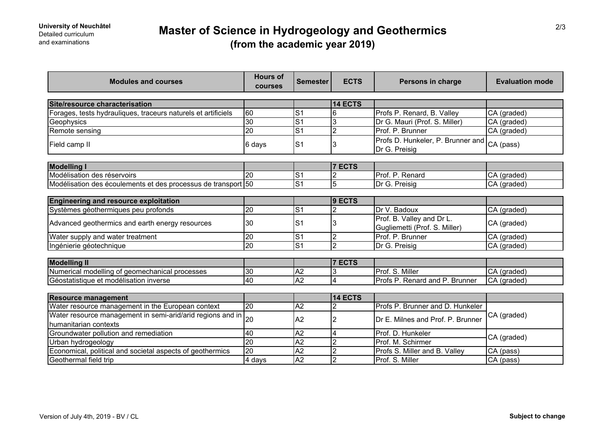# **Master of Science in Hydrogeology and Geothermics (from the academic year 2019)**

| <b>Modules and courses</b>                                                          | <b>Hours of</b><br>courses | <b>Semester</b> | <b>ECTS</b>    | Persons in charge                                          | <b>Evaluation mode</b> |
|-------------------------------------------------------------------------------------|----------------------------|-----------------|----------------|------------------------------------------------------------|------------------------|
| Site/resource characterisation                                                      |                            |                 | <b>14 ECTS</b> |                                                            |                        |
| Forages, tests hydrauliques, traceurs naturels et artificiels                       | 60                         | S <sub>1</sub>  |                | Profs P. Renard, B. Valley                                 | CA (graded)            |
|                                                                                     | 30                         | $\overline{S1}$ |                |                                                            |                        |
| Geophysics                                                                          |                            |                 | 3              | Dr G. Mauri (Prof. S. Miller)                              | CA (graded)            |
| Remote sensing                                                                      | 20                         | $\overline{S}$  | $\overline{2}$ | Prof. P. Brunner                                           | CA (graded)            |
| Field camp II                                                                       | 6 days                     | S <sub>1</sub>  | 3              | Profs D. Hunkeler, P. Brunner and<br>Dr G. Preisig         | CA (pass)              |
|                                                                                     |                            |                 |                |                                                            |                        |
| <b>Modelling I</b>                                                                  |                            |                 | <b>7 ECTS</b>  |                                                            |                        |
| Modélisation des réservoirs                                                         | 20                         | S <sub>1</sub>  | $\overline{2}$ | Prof. P. Renard                                            | CA (graded)            |
| Modélisation des écoulements et des processus de transport 50                       |                            | $\overline{S1}$ | $\overline{5}$ | Dr G. Preisig                                              | CA (graded)            |
| <b>Engineering and resource exploitation</b>                                        |                            |                 | 9 ECTS         |                                                            |                        |
| Systèmes géothermiques peu profonds                                                 | 20                         | S <sub>1</sub>  | 2              | Dr V. Badoux                                               | CA (graded)            |
| Advanced geothermics and earth energy resources                                     | 30                         | S <sub>1</sub>  | 3              | Prof. B. Valley and Dr L.<br>Gugliemetti (Prof. S. Miller) | CA (graded)            |
| Water supply and water treatment                                                    | 20                         | S <sub>1</sub>  | $\overline{2}$ | Prof. P. Brunner                                           | CA (graded)            |
| Ingénierie géotechnique                                                             | 20                         | S <sub>1</sub>  | $\overline{2}$ | Dr G. Preisig                                              | CA (graded)            |
|                                                                                     |                            |                 |                |                                                            |                        |
| <b>Modelling II</b>                                                                 |                            |                 | <b>7 ECTS</b>  |                                                            |                        |
| Numerical modelling of geomechanical processes                                      | 30                         | A2              | 3              | Prof. S. Miller                                            | CA (graded)            |
| Géostatistique et modélisation inverse                                              | 40                         | A2              | $\overline{4}$ | Profs P. Renard and P. Brunner                             | CA (graded)            |
| <b>Resource management</b>                                                          |                            |                 | 14 ECTS        |                                                            |                        |
| Water resource management in the European context                                   | 20                         | A2              | $\overline{2}$ | Profs P. Brunner and D. Hunkeler                           |                        |
| Water resource management in semi-arid/arid regions and in<br>humanitarian contexts | 20                         | A2              | $\overline{2}$ | Dr E. Milnes and Prof. P. Brunner                          | CA (graded)            |
| Groundwater pollution and remediation                                               | 40                         | $\overline{A2}$ | 4              | Prof. D. Hunkeler                                          |                        |
| Urban hydrogeology                                                                  | $\overline{20}$            | A2              | $\overline{2}$ | Prof. M. Schirmer                                          | CA (graded)            |
| Economical, political and societal aspects of geothermics                           | $\overline{20}$            | A2              | $\overline{2}$ | Profs S. Miller and B. Valley                              | CA (pass)              |
| Geothermal field trip                                                               | 4 days                     | A <sub>2</sub>  | $\overline{2}$ | Prof. S. Miller                                            | CA (pass)              |